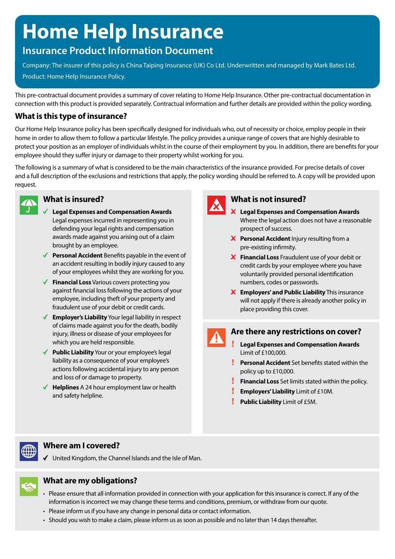# **Home Help Insurance**

## **Insurance Product Information Document**

Company: The insurer of this policy is China Taiping Insurance (UK) Co Ltd. Underwritten and managed by Mark Bates Ltd. Product: Home Help Insurance Policy.

This pre-contractual document provides a summary of cover relating to Home Help Insurance. Other pre-contractual documentation in connection with this product is provided separately. Contractual information and further details are provided within the policy wording.

## **What is this type of insurance?**

Our Home Help Insurance policy has been specifically designed for individuals who, out of necessity or choice, employ people in their home in order to allow them to follow a particular lifestyle. The policy provides a unique range of covers that are highly desirable to protect your position as an employer of individuals whilst in the course of their employment by you. In addition, there are benefits for your employee should they suffer injury or damage to their property whilst working for you.

The following is a summary of what is considered to be the main characteristics of the insurance provided. For precise details of cover and a full description of the exclusions and restrictions that apply, the policy wording should be referred to. A copy will be provided upon request.



## **What is insured?**

- **Legal Expenses and Compensation Awards** Legal expenses incurred in representing you in defending your legal rights and compensation awards made against you arising out of a claim brought by an employee.
- ◆ **Personal Accident** Benefits payable in the event of an accident resulting in bodily injury caused to any of your employees whilst they are working for you.
- **Financial Loss** Various covers protecting you against financial loss following the actions of your employee, including theft of your property and fraudulent use of your debit or credit cards.
- **Employer's Liability** Your legal liability in respect of claims made against you for the death, bodily injury, illness or disease of your employees for which you are held responsible.
- ◆ **Public Liability** Your or your employee's legal liability as a consequence of your employee's actions following accidental injury to any person and loss of or damage to property.
- **Helplines** A 24 hour employment law or health and safety helpline.



#### **What is not insured?**

- **Legal Expenses and Compensation Awards** Where the legal action does not have a reasonable prospect of success.
- **X** Personal Accident Injury resulting from a pre-existing infirmity.
- **Financial Loss** Fraudulent use of your debit or credit cards by your employee where you have voluntarily provided personal identification numbers, codes or passwords.
- **Employers' and Public Liability** This insurance will not apply if there is already another policy in place providing this cover.

### **Are there any restrictions on cover?**

- **Legal Expenses and Compensation Awards** Limit of £100,000.
- **Personal Accident** Set benefits stated within the policy up to £10,000.
- **Financial Loss** Set limits stated within the policy.
- **Employers' Liability** Limit of £10M.
- Ţ **Public Liability** Limit of £5M.



## **Where am I covered?**

United Kingdom, the Channel Islands and the Isle of Man.



## **What are my obligations?**

- Please ensure that all information provided in connection with your application for this insurance is correct. If any of the information is incorrect we may change these terms and conditions, premium, or withdraw from our quote.
- Please inform us if you have any change in personal data or contact information.
- Should you wish to make a claim, please inform us as soon as possible and no later than 14 days thereafter.